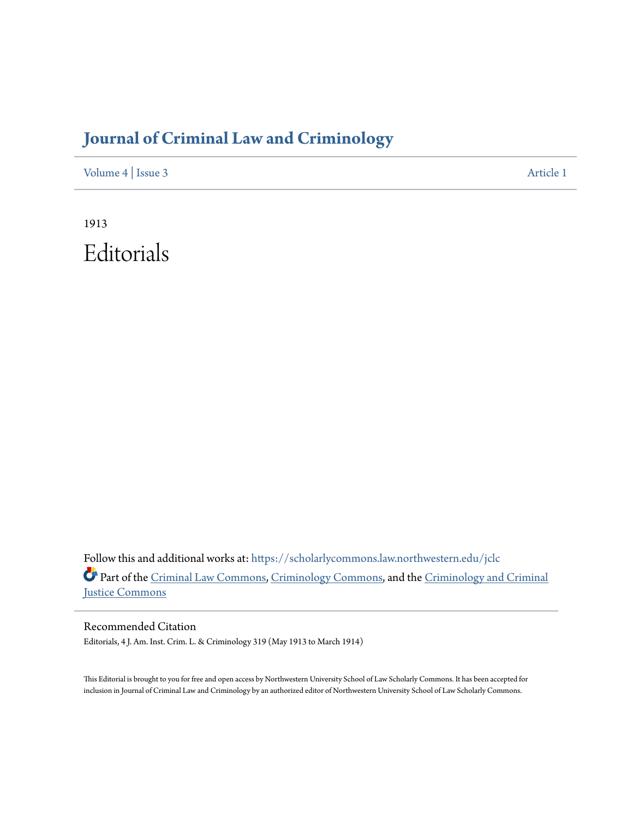## **[Journal of Criminal Law and Criminology](https://scholarlycommons.law.northwestern.edu/jclc?utm_source=scholarlycommons.law.northwestern.edu%2Fjclc%2Fvol4%2Fiss3%2F1&utm_medium=PDF&utm_campaign=PDFCoverPages)**

[Volume 4](https://scholarlycommons.law.northwestern.edu/jclc/vol4?utm_source=scholarlycommons.law.northwestern.edu%2Fjclc%2Fvol4%2Fiss3%2F1&utm_medium=PDF&utm_campaign=PDFCoverPages) | [Issue 3](https://scholarlycommons.law.northwestern.edu/jclc/vol4/iss3?utm_source=scholarlycommons.law.northwestern.edu%2Fjclc%2Fvol4%2Fiss3%2F1&utm_medium=PDF&utm_campaign=PDFCoverPages) [Article 1](https://scholarlycommons.law.northwestern.edu/jclc/vol4/iss3/1?utm_source=scholarlycommons.law.northwestern.edu%2Fjclc%2Fvol4%2Fiss3%2F1&utm_medium=PDF&utm_campaign=PDFCoverPages)

1913 Editorials

Follow this and additional works at: [https://scholarlycommons.law.northwestern.edu/jclc](https://scholarlycommons.law.northwestern.edu/jclc?utm_source=scholarlycommons.law.northwestern.edu%2Fjclc%2Fvol4%2Fiss3%2F1&utm_medium=PDF&utm_campaign=PDFCoverPages) Part of the [Criminal Law Commons](http://network.bepress.com/hgg/discipline/912?utm_source=scholarlycommons.law.northwestern.edu%2Fjclc%2Fvol4%2Fiss3%2F1&utm_medium=PDF&utm_campaign=PDFCoverPages), [Criminology Commons](http://network.bepress.com/hgg/discipline/417?utm_source=scholarlycommons.law.northwestern.edu%2Fjclc%2Fvol4%2Fiss3%2F1&utm_medium=PDF&utm_campaign=PDFCoverPages), and the [Criminology and Criminal](http://network.bepress.com/hgg/discipline/367?utm_source=scholarlycommons.law.northwestern.edu%2Fjclc%2Fvol4%2Fiss3%2F1&utm_medium=PDF&utm_campaign=PDFCoverPages) [Justice Commons](http://network.bepress.com/hgg/discipline/367?utm_source=scholarlycommons.law.northwestern.edu%2Fjclc%2Fvol4%2Fiss3%2F1&utm_medium=PDF&utm_campaign=PDFCoverPages)

Recommended Citation Editorials, 4 J. Am. Inst. Crim. L. & Criminology 319 (May 1913 to March 1914)

This Editorial is brought to you for free and open access by Northwestern University School of Law Scholarly Commons. It has been accepted for inclusion in Journal of Criminal Law and Criminology by an authorized editor of Northwestern University School of Law Scholarly Commons.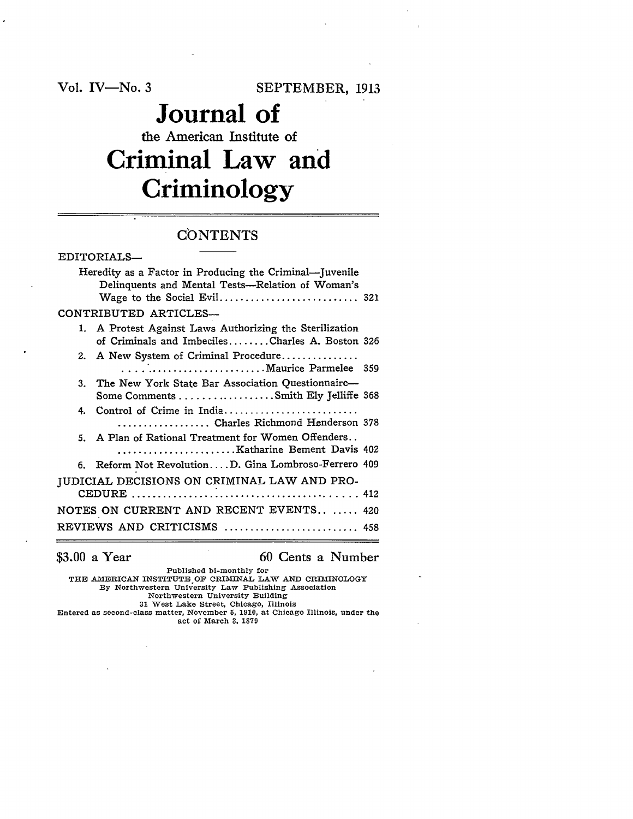Vol. IV-No. 3 SEPTEMBER, **<sup>1913</sup>**

# **Journal of**

the American Institute of

# **Criminal Law and Criminology**

## **CONTENTS**

| EDITORIALS-                                                                                                 |  |
|-------------------------------------------------------------------------------------------------------------|--|
| Heredity as a Factor in Producing the Criminal—Juvenile<br>Delinquents and Mental Tests-Relation of Woman's |  |
| CONTRIBUTED ARTICLES-                                                                                       |  |
| 1. A Protest Against Laws Authorizing the Sterilization<br>of Criminals and ImbecilesCharles A. Boston 326  |  |
| 2. A New System of Criminal Procedure<br>Maurice Parmelee 359                                               |  |
| 3. The New York State Bar Association Questionnaire-<br>Some Comments Smith Ely Jelliffe 368                |  |
| 4. Control of Crime in India<br>Charles Richmond Henderson 378                                              |  |
| 5. A Plan of Rational Treatment for Women Offenders<br>Katharine Bement Davis 402                           |  |
| 6. Reform Not RevolutionD. Gina Lombroso-Ferrero 409                                                        |  |
| JUDICIAL DECISIONS ON CRIMINAL LAW AND PRO-                                                                 |  |
|                                                                                                             |  |
| NOTES ON CURRENT AND RECENT EVENTS  420                                                                     |  |
| REVIEWS AND CRITICISMS  458                                                                                 |  |

**\$3.00** a Year **60** Cents a Number

Published bi-monthly for THE AMERICAN INSTITUTE **OF** CRIMINAL LAW AND CRIMINOLOGY **By** Northwestern University Law Publishing Association Northwestern University Building **31** West Lake Street, Chicago, Illinois Entered as second-class matter, November **5, 1910,** at Chicago Illinois, under the act **of** March **3, 1879**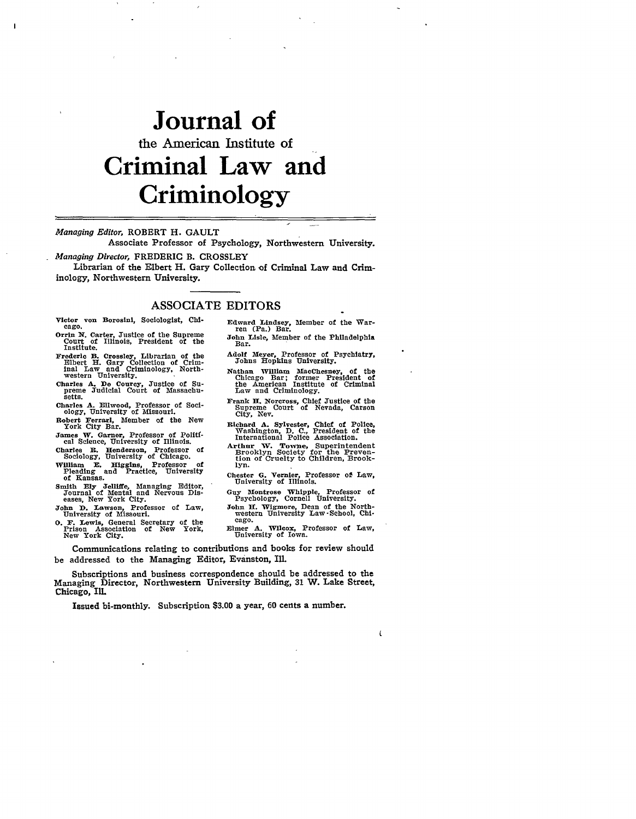# **Journal of** the American Institute of **Criminal Law and Criminology**

*Managing Editor,* ROBERT H. GAULT

 $\mathbf{I}$ 

Associate Professor of Psychology, Northwestern University.

*Managing Director,* FREDERIC B. CROSSLEY

Librarian of the Elbert H. Gary Collection of Criminal Law and Criminology, Northwestern University.

### ASSOCIATE EDITORS

- Victor von Borosini, Sociologist, **Chi**cago.
- Orrin N. Carter, Justice of the Supreme Court of Illinois, President of the Institute.
- Frederic B. Crossley, Librarian of the **Elbert** H. Gary Collection of Crim-inal Law and Criminology, North- western University.
- Charles **A. Do** Courcy, Justice of Su-preme Judicial Court of Massachu- setts.
- Charles **A.** Ellwood, Professor of Soci-ology, University of Missouri.
- Robert Ferrari, Member of the New York City Bar.
- James W. Garner, Professor of Politf-cal Science, University of Illinois.
- Charles **R.** Henderson, Professor **of** Sociology, University of Chicago.
- William **E.** Hliggins, Professor of Pleading and Practice, University of Kansas.
- Smith **Ely** Jelliffe, Managing Editor, Journal of Mental and Nervous Dis- eases, New York City.
- 
- John **D.** Lawson, Professor of Law, University of Missouri. **0.** F. Lewis, General Secretary of the Prison Association **of** New York, New York City.
- Edward Lindsey, Member of the War- ren (Pa.) Bar. John Lisle, Member of the Philadelphia
- Bar. Adolf Meyer, Professor of Psychiatry, Johns Hopkins University.
- Nathan William MacChesney, of the Chicago Bar; former President of<br>the American Institute of Criminal<br>Law and Criminology.
- Frank H. Norcross, Chief Justice of the Supreme Court of Nevada, Carson City, Nev.
- Richard **A.** Sylvester, Chief of Police, Washington, **D.** *C.,* President of the International Police Association.
- Arthur W. Towne, Superintendent Brooklyn Society for the Preven-tion of Cruelty to Children, Brooklyn.
- Chester **G.** Vernier, Professor of Law, University of Illinois.
- Guy Montrose Whipple, Professor of Psychology, Cornell University.
- John H. Wigmore, Dean of the North- western University Law-School, **Chi**cago.
- Elmer **A.** Wilcox, Professor of Law, University of Iowa.

 $\overline{\mathbf{C}}$ 

Communications relating to contributions and books for review should be addressed to the Managing Editor, Evanston, Ill.

Subscriptions and business correspondence should be addressed to the Managing Director, Northwestern University Building, **31** W. Lake Street, Chicago, Ill.

Issued bi-monthly. Subscription \$3.00 a year, **60** cents a number.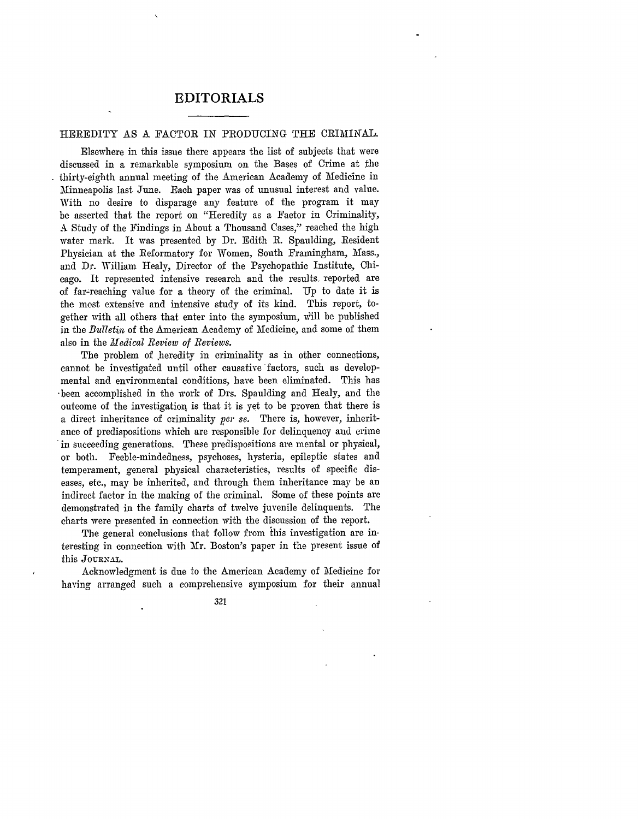## **EDITORIALS**

#### HEREDITY AS A FACTOR IN PRODUCING THE CRIMINAL.

Elsewhere in this issue there appears the list of subjects that were discussed in a remarkable symposium on the Bases of Crime at the thirty-eighth annual meeting of the American Academy of Medicine in Minneapolis last June. Each paper was of unusual interest and value. With no desire to disparage any feature of the program it may be asserted that the report on "Heredity as a Factor in Criminality, A Study of the Findings in About a Thousand Cases," reached the high water mark. It was presented by Dr. Edith R. Spaulding, Resident Physician at the Reformatory for Women, South Framingham, Mass., and Dr. William Healy, Director of the Psychopathic Institute, Chicago. It represented intensive research and the results- reported are of far-reaching value for a theory of the criminal. **Up** to date it is the most extensive and intensive study of its kind. This report, together with all others that enter into the symposium, will be published in the *Bulletin* of the American Academy of Medicine, and some of them also in the *Medical Review of Reviews.*

The problem of heredity in criminality as in other connections, cannot be investigated until other causative factors, such as developmental and environmental conditions, have been eliminated. This has -been accomplished in the work of Drs. Spaulding and Healy, and the outcome of the investigation, is that it is yet to be proven that there is a direct inheritance of criminality *per se.* There is, however, inheritance of predispositions which are responsible for delinquency and crime in succeeding generations. These predispositions are mental or physical, or both. Feeble-mindedness, psychoses, hysteria, epileptic states and temperament, general physical characteristics, results of specific diseases, etc., may be inherited, and through them inheritance may be an indirect factor in the making of the criminal. Some of these points are demonstrated in the family charts of twelve juvenile delinquents. The charts were presented in connection with the discussion of the report.

The general conclusions that follow from this investigation are interesting in connection with Mr. Boston's paper in the present issue of this JouRNAL.

Acknowledgment is due to the American Academy of Medicine for having arranged such a comprehensive symposium for their annual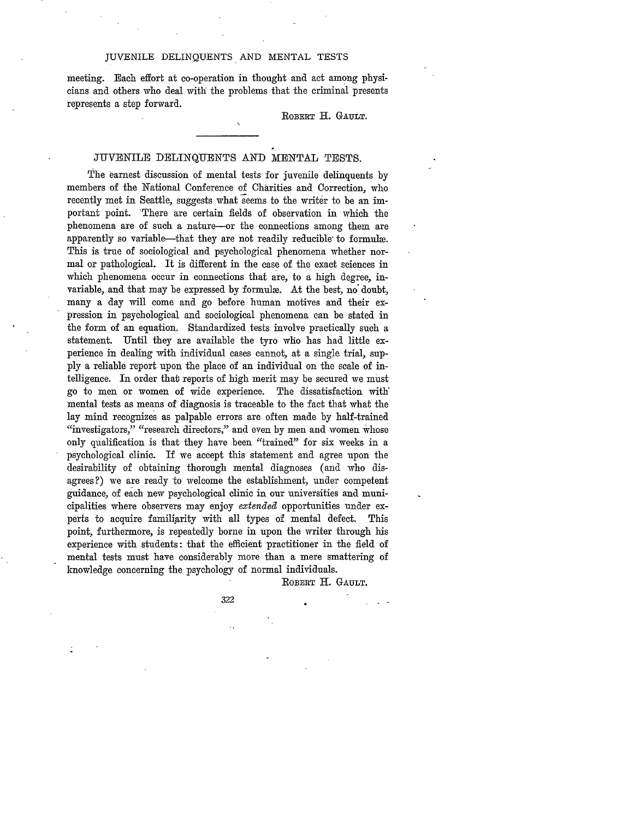#### JUVENILE DELINQUENTS AND MENTAL TESTS

meeting. Each effort at co-operation in thought and act among physicians and others who deal with the problems that the criminal presents represents a step forward.

**ROBERT** H. **GAuLT.**

#### JUVENILE DELINQUENTS AND MENTAL TESTS.

The earnest discussion of mental tests for juvenile delinquents by members of the National Conference of Charities and Correction, who recently met in Seattle, suggests what seems to the writer to be an important point. 'There are certain fields of observation in which the phenomena are of such a nature-or the connections among them are apparently so variable-that they are not readily reducible to formulæ. This is true of sociological and psychological phenomena whether normal or pathological. It is different in the case of the exact sciences in which phenomena occur in connections that are, to a high degree, invariable, and that may be expressed by formulæ. At the best, no doubt, many a day will come and go before human motives and their expression in psychological and sociological phenomena can be stated in the form of an equation. Standardized tests involve practically such a statement. Until they are available the tyro who has had little experience in dealing with individual cases cannot, at a single trial, supply a reliable report upon the place of an individual on the scale of intelligence. In order that reports of high merit may be secured we must go to men or women of wide experience. The dissatisfaction with' mental tests as means of diagnosis is traceable to the fact that what the lay mind recognizes as palpable errors are often made by half-trained "investigators," "research directors," and even by men and women whose only qualification is that they have been "trained" for six weeks in a psychological clinic. If we accept this statement and agree upon the desirability of obtaining thorough mental diagnoses (and who disagrees?) we are ready to welcome the establishment, under competent guidance, of each new psychological clinic in our universities and municipalities where observers may enjoy *extended* opportunities under experts to acquire familiarity with all types of mental defect. This point, furthermore, is repeatedly borne in upon the writer through his experience with students: that the efficient practitioner in the field of mental tests must have considerably more than a mere smattering of knowledge concerning the psychology of normal individuals.

ROBERT H. GAULT.

322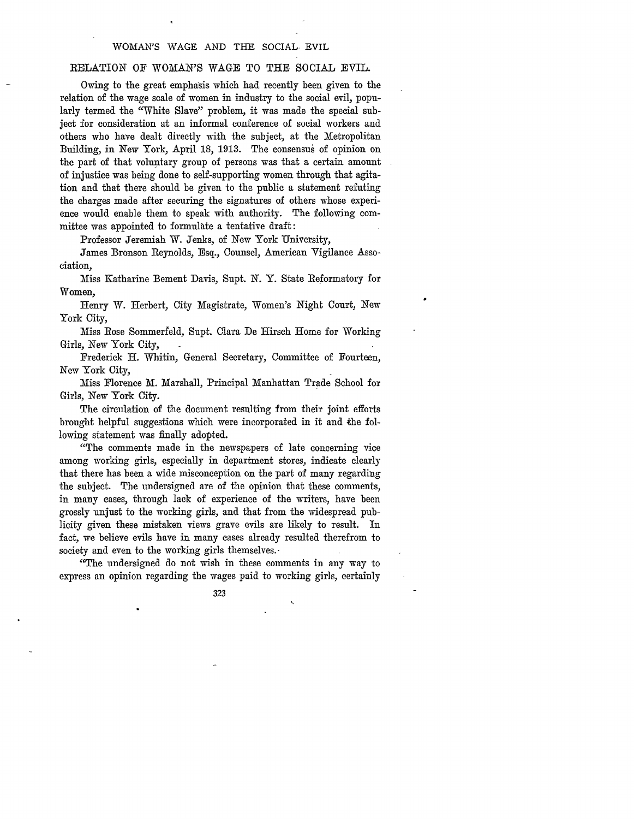#### WOMAN'S WAGE AND THE SOCIAL- EVIL

#### RELATION OF WOMAN'S WAGE TO THE SOCIAL EVIL.

Owing to the great emphasis which had recently been given to the relation of the wage scale of women in industry to the social evil, popularly termed the "White Slave" problem, it was made the special subject for consideration at an informal conference of social workers and others who have dealt directly with the subject, at the Metropolitan Building, in New York, April 18, 1913. The consensus of opinion on the part of that voluntary group of persons was that a certain amount of injustice was being done to self-supporting women through that agitation and that there should be given to the public a statement refuting the charges made after securing the signatures of others whose experience would enable them to speak with authority. The following committee was appointed to formulate a tentative draft:

Professor Jeremiah W. Jenks, of New York University,

James Bronson Reynolds, Esq., Counsel, American Vigilance Association,

Miss Katharine Bement Davis, Supt. **N.** Y. State Reformatory for Women,

Henry W. Herbert, City Magistrate, Women's Night Court, New York City,

Miss Rose Sommerfeld, Supt. Clara De Hirsch Home for Working Girls, New York City,

Frederick H. Whitin, General Secretary, Committee of Fourteen, New York City,

Miss Florence M. Marshall, Principal Manhattan Trade School for Girls, New York City.

The circulation of the document resulting from their joint efforts brought helpful suggestions which were incorporated in it and the following statement was finally adopted.

"The comments made in the newspapers of late concerning vice among working girls, especially in department stores, indicate clearly that there has been a wide misconception on the part of many regarding the subject. The undersigned are of the opinion that these comments, in many cases, through lack of experience of the writers, have been grossly unjust to the working girls, and that from the widespread publicity given these mistaken views grave evils are likely to result. In fact, we believe evils have in many cases already resulted therefrom to society and even to the working girls themselves.

"The undersigned do not wish in these comments in any way to express an opinion regarding the wages paid to working girls, certainly

323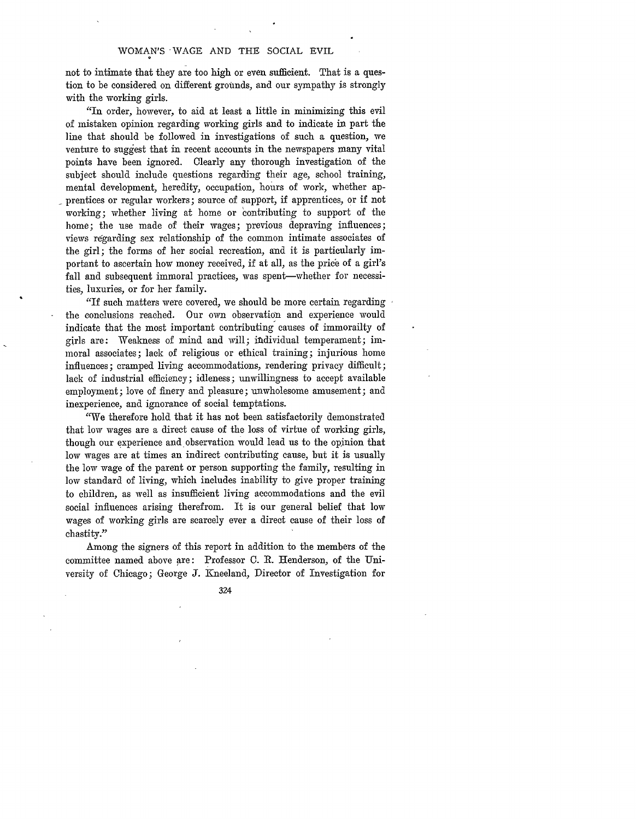#### WOMAN'S -WAGE AND THE SOCIAL EVIL

not to intimate that they are too high or even sufficient. That is a question to be considered on different grounds, and our sympathy is strongly with the working girls.

"In order, however, to aid at least a little in minimizing this evil of mistaken opinion regarding working girls and to indicate in part the line that should be followed in investigations of such a question, we venture to suggest that in recent accounts in the newspapers many vital points have been ignored. Clearly any thorough investigation of the subject should include questions regarding their age, school training, mental development, heredity, occupation, hours of work, whether apprentices or regular workers; source of support, if apprentices, or if not working; whether living at home or contributing to support of the home; the use made of their wages; previous depraving influences; views regarding sex relationship of the common intimate associates of the girl; the forms of her social recreation, and it is particularly important to ascertain how money received, if at all, as the price of a girl's fall and subsequent immoral practices, was spent-whether for necessities, luxuries, or for her family.

"If such matters were covered, we should be more certain regarding the conclusions reached. Our own observation and experience would indicate that the most important contributing causes of immorailty of girls are: Weakness of mind and will; individual temperament; immoral associates; lack of religious or ethical training; injurious home influences; cramped living accommodations, rendering privacy difficult; lack of industrial efficiency; idleness; unwillingness to accept available employment; love of finery and pleasure; unwholesome amusement; and inexperience, and ignorance of social temptations.

"We therefore hold that it has not been satisfactorily demonstrated that low wages are a direct cause of the loss of virtue of working girls, though our experience and observation would lead us to the opinion that low wages are at times an indirect contributing cause, but it is usually the low wage of the parent or person supporting the family, resulting in low standard of living, which includes inability to give proper training to children, as well as insufficient living accommodations and the evil social influences arising therefrom. It is our general belief that low wages of working girls are scarcely ever a direct cause of their loss of chastity."

Among the signers of this report in addition to the members of the committee named above are: Professor C. R. Henderson, of the University of Chicago; George J. Kneeland, Director of Investigation for

324